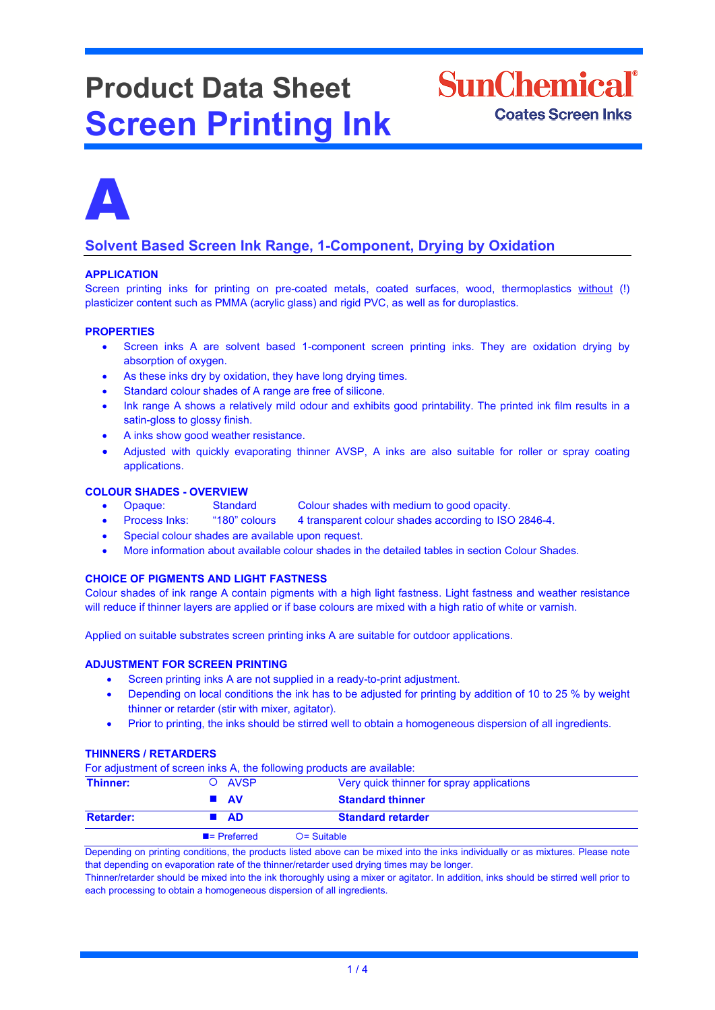# **Product Data Sheet Screen Printing Ink**





# **Solvent Based Screen Ink Range, 1-Component, Drying by Oxidation**

# **APPLICATION**

Screen printing inks for printing on pre-coated metals, coated surfaces, wood, thermoplastics without (!) plasticizer content such as PMMA (acrylic glass) and rigid PVC, as well as for duroplastics.

# **PROPERTIES**

- Screen inks A are solvent based 1-component screen printing inks. They are oxidation drying by absorption of oxygen.
- As these inks dry by oxidation, they have long drying times.
- Standard colour shades of A range are free of silicone.
- Ink range A shows a relatively mild odour and exhibits good printability. The printed ink film results in a satin-gloss to glossy finish.
- A inks show good weather resistance.
- Adjusted with quickly evaporating thinner AVSP, A inks are also suitable for roller or spray coating applications.

# **COLOUR SHADES - OVERVIEW**

- Opaque: Standard Colour shades with medium to good opacity.<br>Process Inks: "180" colours 4 transparent colour shades according to ISC
- Process Inks: "180" colours 4 transparent colour shades according to ISO 2846-4.
- Special colour shades are available upon request.
- More information about available colour shades in the detailed tables in section Colour Shades.

# **CHOICE OF PIGMENTS AND LIGHT FASTNESS**

Colour shades of ink range A contain pigments with a high light fastness. Light fastness and weather resistance will reduce if thinner layers are applied or if base colours are mixed with a high ratio of white or varnish.

Applied on suitable substrates screen printing inks A are suitable for outdoor applications.

# **ADJUSTMENT FOR SCREEN PRINTING**

- Screen printing inks A are not supplied in a ready-to-print adjustment.
- Depending on local conditions the ink has to be adjusted for printing by addition of 10 to 25 % by weight thinner or retarder (stir with mixer, agitator).
- Prior to printing, the inks should be stirred well to obtain a homogeneous dispersion of all ingredients.

# **THINNERS / RETARDERS**

For adjustment of screen inks A, the following products are available:

| Thinner:         | O AVSP                   | Very quick thinner for spray applications |  |
|------------------|--------------------------|-------------------------------------------|--|
|                  | $\blacksquare$ AV        | <b>Standard thinner</b>                   |  |
| <b>Retarder:</b> | ■ AD                     | <b>Standard retarder</b>                  |  |
|                  | $\blacksquare$ Preferred | $O =$ Suitable                            |  |

Depending on printing conditions, the products listed above can be mixed into the inks individually or as mixtures. Please note that depending on evaporation rate of the thinner/retarder used drying times may be longer.

Thinner/retarder should be mixed into the ink thoroughly using a mixer or agitator. In addition, inks should be stirred well prior to each processing to obtain a homogeneous dispersion of all ingredients.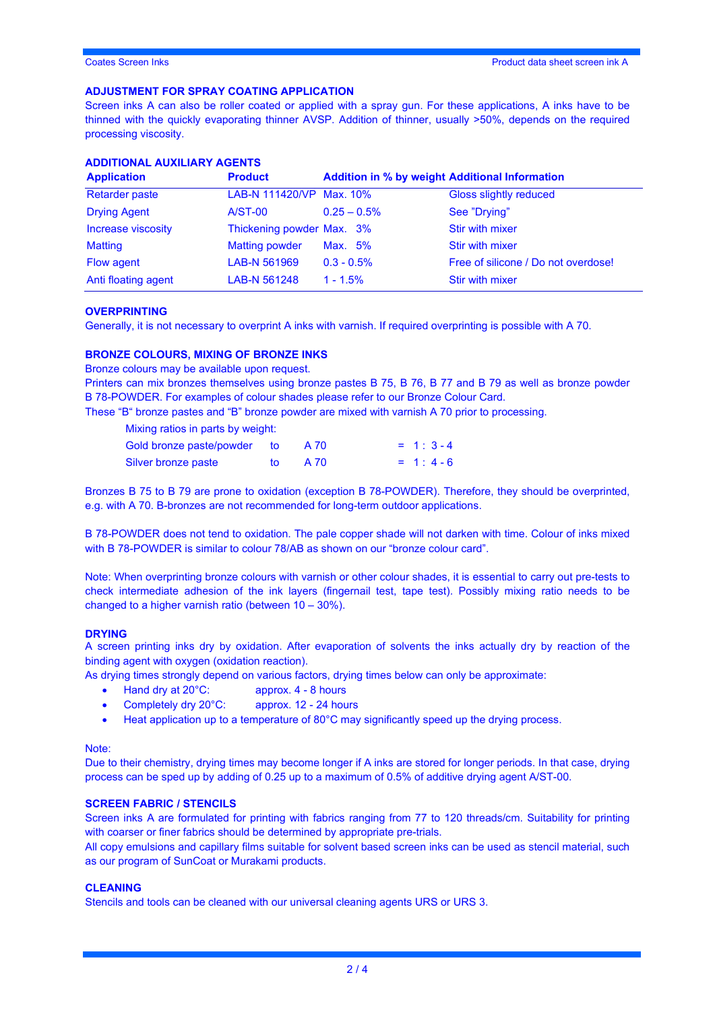# **ADJUSTMENT FOR SPRAY COATING APPLICATION**

Screen inks A can also be roller coated or applied with a spray gun. For these applications, A inks have to be thinned with the quickly evaporating thinner AVSP. Addition of thinner, usually >50%, depends on the required processing viscosity.

| <b>ADDITIONAL AUXILIARY AGENTS</b> |  |  |
|------------------------------------|--|--|
|------------------------------------|--|--|

| <b>Application</b>    | <b>Product</b>            | <b>Addition in % by weight Additional Information</b> |                                     |
|-----------------------|---------------------------|-------------------------------------------------------|-------------------------------------|
| <b>Retarder paste</b> | LAB-N 111420/VP Max. 10%  |                                                       | Gloss slightly reduced              |
| <b>Drying Agent</b>   | $A/ST-00$                 | $0.25 - 0.5\%$                                        | See "Drying"                        |
| Increase viscosity    | Thickening powder Max. 3% |                                                       | <b>Stir with mixer</b>              |
| <b>Matting</b>        | <b>Matting powder</b>     | Max. 5%                                               | <b>Stir with mixer</b>              |
| Flow agent            | LAB-N 561969              | $0.3 - 0.5\%$                                         | Free of silicone / Do not overdose! |
| Anti floating agent   | LAB-N 561248              | $1 - 1.5\%$                                           | <b>Stir with mixer</b>              |

# **OVERPRINTING**

Generally, it is not necessary to overprint A inks with varnish. If required overprinting is possible with A 70.

#### **BRONZE COLOURS, MIXING OF BRONZE INKS**

Bronze colours may be available upon request.

Printers can mix bronzes themselves using bronze pastes B 75, B 76, B 77 and B 79 as well as bronze powder B 78-POWDER. For examples of colour shades please refer to our Bronze Colour Card.

These "B" bronze pastes and "B" bronze powder are mixed with varnish A 70 prior to processing.

| Mixing ratios in parts by weight: |     |      |             |
|-----------------------------------|-----|------|-------------|
| Gold bronze paste/powder to       |     | A 70 | $= 1:3 - 4$ |
| Silver bronze paste               | to. | A 70 | $= 1: 4-6$  |

Bronzes B 75 to B 79 are prone to oxidation (exception B 78-POWDER). Therefore, they should be overprinted, e.g. with A 70. B-bronzes are not recommended for long-term outdoor applications.

B 78-POWDER does not tend to oxidation. The pale copper shade will not darken with time. Colour of inks mixed with B 78-POWDER is similar to colour 78/AB as shown on our "bronze colour card".

Note: When overprinting bronze colours with varnish or other colour shades, it is essential to carry out pre-tests to check intermediate adhesion of the ink layers (fingernail test, tape test). Possibly mixing ratio needs to be changed to a higher varnish ratio (between 10 – 30%).

#### **DRYING**

A screen printing inks dry by oxidation. After evaporation of solvents the inks actually dry by reaction of the binding agent with oxygen (oxidation reaction).

As drying times strongly depend on various factors, drying times below can only be approximate:

- Hand dry at 20°C: approx. 4 8 hours
- Completely dry 20°C: approx. 12 24 hours
- Heat application up to a temperature of 80°C may significantly speed up the drying process.

Note:

Due to their chemistry, drying times may become longer if A inks are stored for longer periods. In that case, drying process can be sped up by adding of 0.25 up to a maximum of 0.5% of additive drying agent A/ST-00.

#### **SCREEN FABRIC / STENCILS**

Screen inks A are formulated for printing with fabrics ranging from 77 to 120 threads/cm. Suitability for printing with coarser or finer fabrics should be determined by appropriate pre-trials.

All copy emulsions and capillary films suitable for solvent based screen inks can be used as stencil material, such as our program of SunCoat or Murakami products.

#### **CLEANING**

Stencils and tools can be cleaned with our universal cleaning agents URS or URS 3.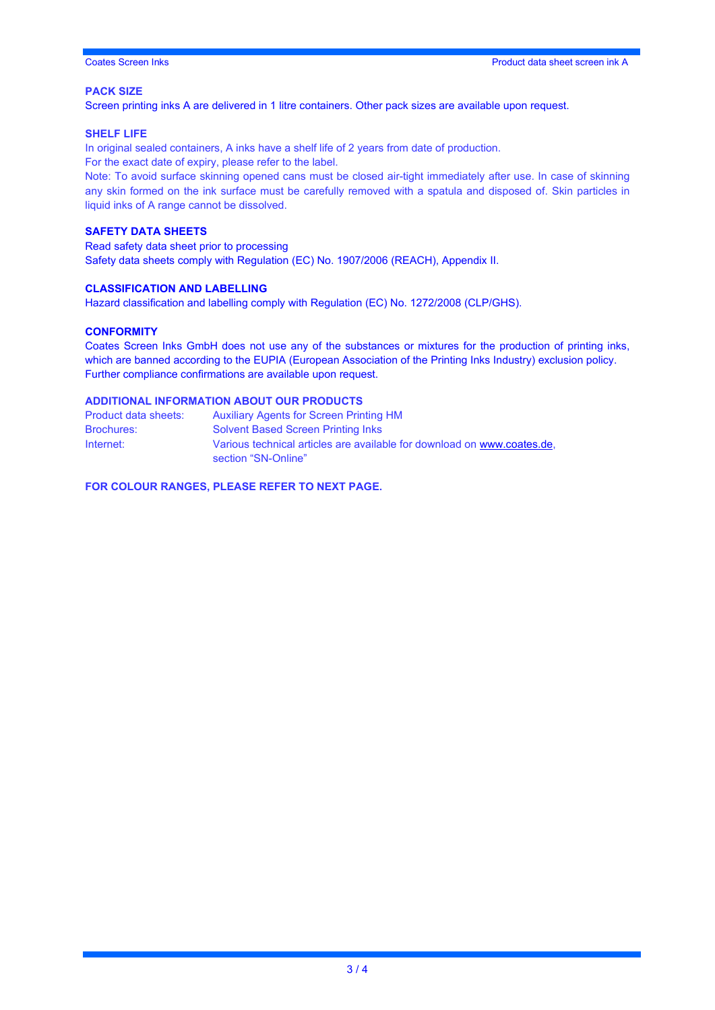# **PACK SIZE**

Screen printing inks A are delivered in 1 litre containers. Other pack sizes are available upon request.

#### **SHELF LIFE**

In original sealed containers, A inks have a shelf life of 2 years from date of production. For the exact date of expiry, please refer to the label.

Note: To avoid surface skinning opened cans must be closed air-tight immediately after use. In case of skinning any skin formed on the ink surface must be carefully removed with a spatula and disposed of. Skin particles in liquid inks of A range cannot be dissolved.

# **SAFETY DATA SHEETS**

Read safety data sheet prior to processing Safety data sheets comply with Regulation (EC) No. 1907/2006 (REACH), Appendix II.

# **CLASSIFICATION AND LABELLING**

Hazard classification and labelling comply with Regulation (EC) No. 1272/2008 (CLP/GHS).

### **CONFORMITY**

Coates Screen Inks GmbH does not use any of the substances or mixtures for the production of printing inks, which are banned according to the EUPIA (European Association of the Printing Inks Industry) exclusion policy. Further compliance confirmations are available upon request.

# **ADDITIONAL INFORMATION ABOUT OUR PRODUCTS**

| Product data sheets: | <b>Auxiliary Agents for Screen Printing HM</b>                          |
|----------------------|-------------------------------------------------------------------------|
| <b>Brochures:</b>    | <b>Solvent Based Screen Printing Inks</b>                               |
| Internet:            | Various technical articles are available for download on www.coates.de. |
|                      | section "SN-Online"                                                     |

**FOR COLOUR RANGES, PLEASE REFER TO NEXT PAGE.**